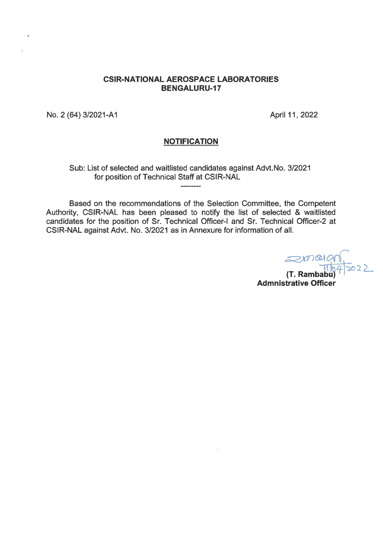## **CSIR-NATIONAL AEROSPACE LABORATORIES BENGALURU-17**

No. 2 (64) 3/2021-A1 April 11, 2022

## **NOTIFICATION**

Sub: List of selected and waitlisted candidates against Advt.No. 3/2021 for position of Technical Staff at CSIR-NAL  $\label{eq:3.1} \begin{split} \mathbf{u} & = \mathbf{u} + \mathbf{u} + \mathbf{u} + \mathbf{u} + \mathbf{u} + \mathbf{u} + \mathbf{u} + \mathbf{u} + \mathbf{u} + \mathbf{u} + \mathbf{u} + \mathbf{u} + \mathbf{u} + \mathbf{u} + \mathbf{u} + \mathbf{u} + \mathbf{u} + \mathbf{u} + \mathbf{u} + \mathbf{u} + \mathbf{u} + \mathbf{u} + \mathbf{u} + \mathbf{u} + \mathbf{u} + \mathbf{u} + \mathbf{u} + \mathbf{u} + \math$ 

Based on the recommendations of the Selection Committee, the Competent Authority, CSIR-NAL has been pleased to notify the list of selected & waitlisted candidates for the position of Sr. Technical Officer-1 and Sr. Technical Officer-2 at CSIR-NAL against Advt. No. 3/2021 as in Annexure for information of all.

 $z$ (T. Rambabu)<sup>4</sup>/2022 **Admnistrative Officer**